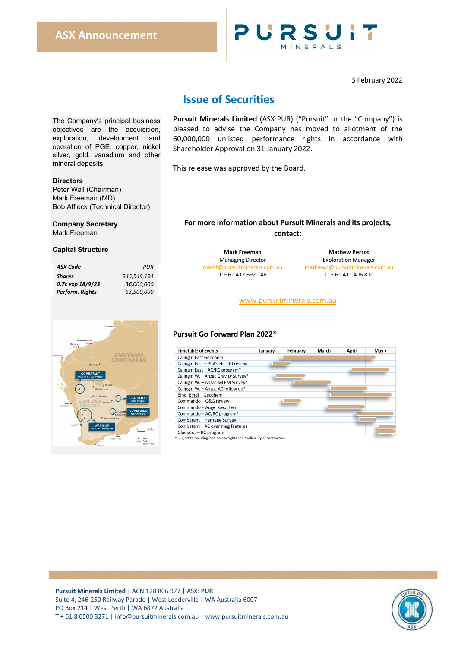

3 February 2022

# **Issue of Securities**

The Company's principal business objectives are the acquisition, exploration, development and operation of PGE, copper, nickel silver, gold, vanadium and other mineral deposits.

### **Directors**

Peter Wall (Chairman) Mark Freeman (MD) Bob Affleck (Technical Director)

### **Company Secretary**

Mark Freeman

### **Capital Structure**

| ASX Code         | PUR         |
|------------------|-------------|
| <b>Shares</b>    | 945.549.194 |
| 0.7с ехр 18/9/23 | 36.000.000  |
| Perform. Rights  | 63.500.000  |
|                  |             |



**Pursuit Minerals Limited** (ASX:PUR) ("Pursuit" or the "Company") is pleased to advise the Company has moved to allotment of the 60,000,000 unlisted performance rights in accordance with Shareholder Approval on 31 January 2022.

This release was approved by the Board.

### **For more information about Pursuit Minerals and its projects, contact:**

**Mark Freeman Mathew Perrot**<br> **Managing Director Managing Director** 

**Exploration Manager** [markf@pursuitminerals.com.au](mailto:markf@pursuitminerals.com.au) [mathewp@pursuitminerals.com.au](mailto:mathewp@pursuitminerals.com.au)  $T: +61411406810$ 

### [www.pursuitminerals.com.au](http://www.pursuitminerals.com.au/)

### **Pursuit Go Forward Plan 2022\***

| January | February | March | April | May + |
|---------|----------|-------|-------|-------|
|         |          |       |       |       |
|         |          |       |       |       |
|         |          |       |       |       |
|         |          |       |       |       |
|         |          |       |       |       |
|         |          |       |       |       |
|         |          |       |       |       |
|         |          |       |       |       |
|         |          |       |       |       |
|         |          |       |       |       |
|         |          |       |       |       |
|         |          |       |       |       |
|         |          |       |       |       |
|         |          |       |       |       |

**Pursuit Minerals Limited** | ACN 128 806 977 | ASX: **PUR** Suite 4, 246-250 Railway Parade | West Leederville | WA Australia 6007 PO Box 214 | West Perth | WA 6872 Australia T + 61 8 6500 3271 [| info@pursuitminerals.com.au](mailto:info@pursuitminerals.com.au) [| www.pursuitminerals.com.a](http://www.pursuitminerals.com/)u

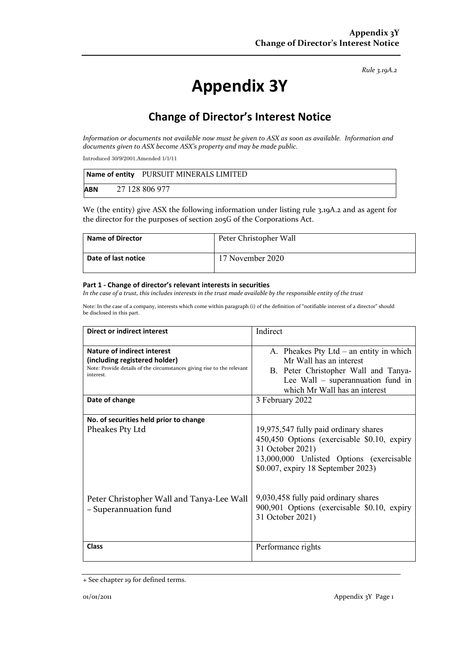*Rule 3.19A.2*

# **Appendix 3Y**

# **Change of Director's Interest Notice**

*Information or documents not available now must be given to ASX as soon as available. Information and documents given to ASX become ASX's property and may be made public.*

Introduced 30/9/2001.Amended 1/1/11

|            | Name of entity PURSUIT MINERALS LIMITED |
|------------|-----------------------------------------|
| <b>ABN</b> | 27 128 806 977                          |

We (the entity) give ASX the following information under listing rule 3.19A.2 and as agent for the director for the purposes of section 205G of the Corporations Act.

| <b>Name of Director</b> | Peter Christopher Wall |
|-------------------------|------------------------|
| Date of last notice     | 17 November 2020       |

#### **Part 1 - Change of director's relevant interests in securities**

*In the case of a trust, this includes interests in the trust made available by the responsible entity of the trust*

Note: In the case of a company, interests which come within paragraph (i) of the definition of "notifiable interest of a director" should be disclosed in this part.

| Direct or indirect interest                                                                                                                         | Indirect                                                                                                                                                                                   |
|-----------------------------------------------------------------------------------------------------------------------------------------------------|--------------------------------------------------------------------------------------------------------------------------------------------------------------------------------------------|
| Nature of indirect interest<br>(including registered holder)<br>Note: Provide details of the circumstances giving rise to the relevant<br>interest. | A. Pheakes Pty Ltd $-$ an entity in which<br>Mr Wall has an interest<br>B. Peter Christopher Wall and Tanya-<br>Lee Wall - superannuation fund in<br>which Mr Wall has an interest         |
| Date of change                                                                                                                                      | 3 February 2022                                                                                                                                                                            |
| No. of securities held prior to change<br>Pheakes Pty Ltd                                                                                           | 19,975,547 fully paid ordinary shares<br>450,450 Options (exercisable \$0.10, expiry<br>31 October 2021)<br>13,000,000 Unlisted Options (exercisable<br>\$0.007, expiry 18 September 2023) |
| Peter Christopher Wall and Tanya-Lee Wall<br>- Superannuation fund                                                                                  | 9,030,458 fully paid ordinary shares<br>900,901 Options (exercisable \$0.10, expiry<br>31 October 2021)                                                                                    |
| <b>Class</b>                                                                                                                                        | Performance rights                                                                                                                                                                         |

<sup>+</sup> See chapter 19 for defined terms.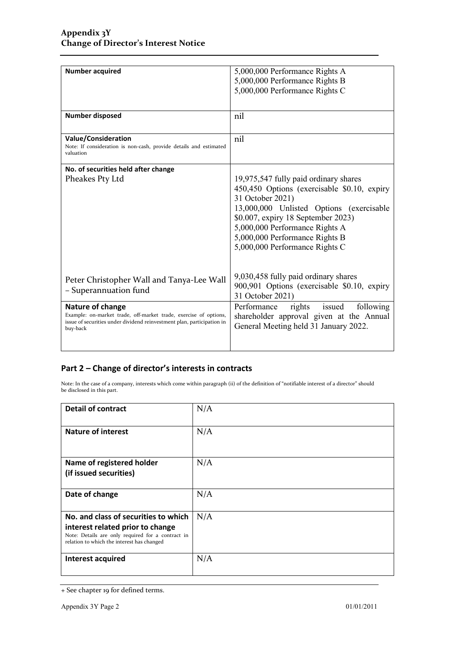| <b>Number acquired</b>                                                                                                                                                     | 5,000,000 Performance Rights A<br>5,000,000 Performance Rights B<br>5,000,000 Performance Rights C                                                                                                                                                                                               |
|----------------------------------------------------------------------------------------------------------------------------------------------------------------------------|--------------------------------------------------------------------------------------------------------------------------------------------------------------------------------------------------------------------------------------------------------------------------------------------------|
| <b>Number disposed</b>                                                                                                                                                     | nil                                                                                                                                                                                                                                                                                              |
| <b>Value/Consideration</b><br>Note: If consideration is non-cash, provide details and estimated<br>valuation                                                               | nil                                                                                                                                                                                                                                                                                              |
| No. of securities held after change                                                                                                                                        |                                                                                                                                                                                                                                                                                                  |
| Pheakes Pty Ltd                                                                                                                                                            | 19,975,547 fully paid ordinary shares<br>450,450 Options (exercisable \$0.10, expiry<br>31 October 2021)<br>13,000,000 Unlisted Options (exercisable<br>\$0.007, expiry 18 September 2023)<br>5,000,000 Performance Rights A<br>5,000,000 Performance Rights B<br>5,000,000 Performance Rights C |
| Peter Christopher Wall and Tanya-Lee Wall<br>- Superannuation fund                                                                                                         | 9,030,458 fully paid ordinary shares<br>900,901 Options (exercisable \$0.10, expiry<br>31 October 2021)                                                                                                                                                                                          |
| Nature of change<br>Example: on-market trade, off-market trade, exercise of options,<br>issue of securities under dividend reinvestment plan, participation in<br>buy-back | issued<br>Performance<br>rights<br>following<br>shareholder approval given at the Annual<br>General Meeting held 31 January 2022.                                                                                                                                                                |

## **Part 2 – Change of director's interests in contracts**

Note: In the case of a company, interests which come within paragraph (ii) of the definition of "notifiable interest of a director" should be disclosed in this part.

| <b>Detail of contract</b>                                                                                                                                                   | N/A |
|-----------------------------------------------------------------------------------------------------------------------------------------------------------------------------|-----|
| <b>Nature of interest</b>                                                                                                                                                   | N/A |
| Name of registered holder<br>(if issued securities)                                                                                                                         | N/A |
| Date of change                                                                                                                                                              | N/A |
| No. and class of securities to which<br>interest related prior to change<br>Note: Details are only required for a contract in<br>relation to which the interest has changed | N/A |
| Interest acquired                                                                                                                                                           | N/A |

<sup>+</sup> See chapter 19 for defined terms.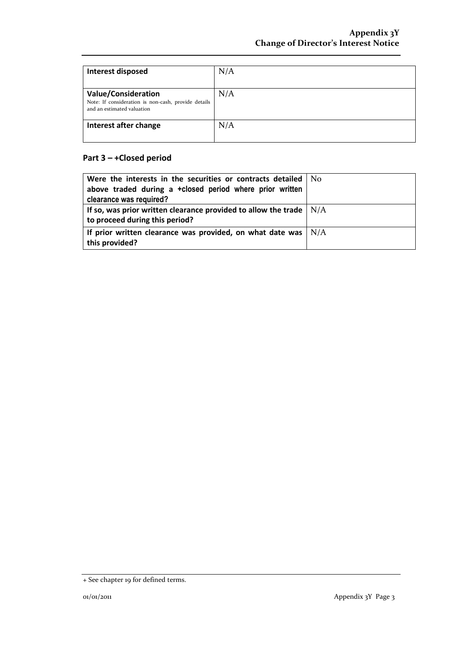| Interest disposed                                                                                               | N/A |
|-----------------------------------------------------------------------------------------------------------------|-----|
| <b>Value/Consideration</b><br>Note: If consideration is non-cash, provide details<br>and an estimated valuation | N/A |
| Interest after change                                                                                           | N/A |

# **Part 3 – +Closed period**

| Were the interests in the securities or contracts detailed $\vert$ No<br>above traded during a +closed period where prior written<br>clearance was required? |  |
|--------------------------------------------------------------------------------------------------------------------------------------------------------------|--|
| If so, was prior written clearance provided to allow the trade $\vert$ N/A<br>to proceed during this period?                                                 |  |
| If prior written clearance was provided, on what date was $\vert$ N/A<br>this provided?                                                                      |  |

<sup>+</sup> See chapter 19 for defined terms.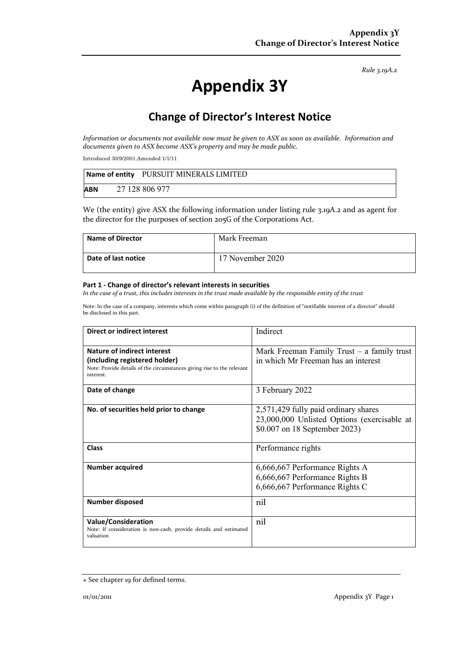*Rule 3.19A.2*

# **Appendix 3Y**

# **Change of Director's Interest Notice**

*Information or documents not available now must be given to ASX as soon as available. Information and documents given to ASX become ASX's property and may be made public.*

Introduced 30/9/2001.Amended 1/1/11

|            | Name of entity PURSUIT MINERALS LIMITED |
|------------|-----------------------------------------|
| <b>ABN</b> | 27 128 806 977                          |

We (the entity) give ASX the following information under listing rule 3.19A.2 and as agent for the director for the purposes of section 205G of the Corporations Act.

| <b>Name of Director</b> | Mark Freeman     |
|-------------------------|------------------|
| Date of last notice     | 17 November 2020 |

#### **Part 1 - Change of director's relevant interests in securities**

*In the case of a trust, this includes interests in the trust made available by the responsible entity of the trust*

Note: In the case of a company, interests which come within paragraph (i) of the definition of "notifiable interest of a director" should be disclosed in this part.

| Direct or indirect interest                                                                                  | Indirect                                                                            |
|--------------------------------------------------------------------------------------------------------------|-------------------------------------------------------------------------------------|
| Nature of indirect interest<br>(including registered holder)                                                 | Mark Freeman Family Trust $-$ a family trust<br>in which Mr Freeman has an interest |
| Note: Provide details of the circumstances giving rise to the relevant<br>interest.                          |                                                                                     |
| Date of change                                                                                               | 3 February 2022                                                                     |
| No. of securities held prior to change                                                                       | 2,571,429 fully paid ordinary shares                                                |
|                                                                                                              | 23,000,000 Unlisted Options (exercisable at<br>\$0.007 on 18 September 2023)        |
| <b>Class</b>                                                                                                 | Performance rights                                                                  |
| <b>Number acquired</b>                                                                                       | 6,666,667 Performance Rights A                                                      |
|                                                                                                              | 6,666,667 Performance Rights B                                                      |
|                                                                                                              | 6,666,667 Performance Rights C                                                      |
| <b>Number disposed</b>                                                                                       | nil                                                                                 |
| <b>Value/Consideration</b><br>Note: If consideration is non-cash, provide details and estimated<br>valuation | nil                                                                                 |

<sup>+</sup> See chapter 19 for defined terms.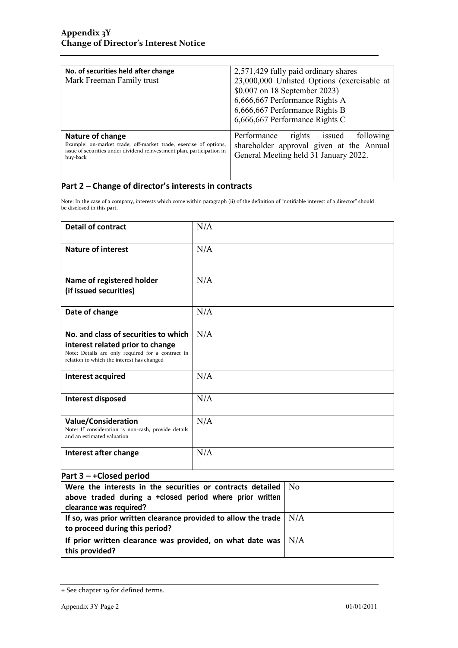| No. of securities held after change<br>Mark Freeman Family trust                                                                                                           | 2,571,429 fully paid ordinary shares<br>23,000,000 Unlisted Options (exercisable at<br>\$0.007 on 18 September 2023)<br>6,666,667 Performance Rights A<br>6,666,667 Performance Rights B<br>6,666,667 Performance Rights C |
|----------------------------------------------------------------------------------------------------------------------------------------------------------------------------|----------------------------------------------------------------------------------------------------------------------------------------------------------------------------------------------------------------------------|
| Nature of change<br>Example: on-market trade, off-market trade, exercise of options,<br>issue of securities under dividend reinvestment plan, participation in<br>buy-back | following<br>rights<br>Performance<br>issued<br>shareholder approval given at the Annual<br>General Meeting held 31 January 2022.                                                                                          |

## **Part 2 – Change of director's interests in contracts**

Note: In the case of a company, interests which come within paragraph (ii) of the definition of "notifiable interest of a director" should be disclosed in this part.

| <b>Detail of contract</b>                                                                                                                                                   | N/A |
|-----------------------------------------------------------------------------------------------------------------------------------------------------------------------------|-----|
| <b>Nature of interest</b>                                                                                                                                                   | N/A |
| Name of registered holder<br>(if issued securities)                                                                                                                         | N/A |
| Date of change                                                                                                                                                              | N/A |
| No. and class of securities to which<br>interest related prior to change<br>Note: Details are only required for a contract in<br>relation to which the interest has changed | N/A |
| Interest acquired                                                                                                                                                           | N/A |
| Interest disposed                                                                                                                                                           | N/A |
| <b>Value/Consideration</b><br>Note: If consideration is non-cash, provide details<br>and an estimated valuation                                                             | N/A |
| Interest after change                                                                                                                                                       | N/A |

## **Part 3 – +Closed period**

| Were the interests in the securities or contracts detailed $\vert$ No      |  |
|----------------------------------------------------------------------------|--|
| above traded during a +closed period where prior written                   |  |
| clearance was required?                                                    |  |
| If so, was prior written clearance provided to allow the trade $\vert$ N/A |  |
| to proceed during this period?                                             |  |
| If prior written clearance was provided, on what date was $\vert$ N/A      |  |
| this provided?                                                             |  |

<sup>+</sup> See chapter 19 for defined terms.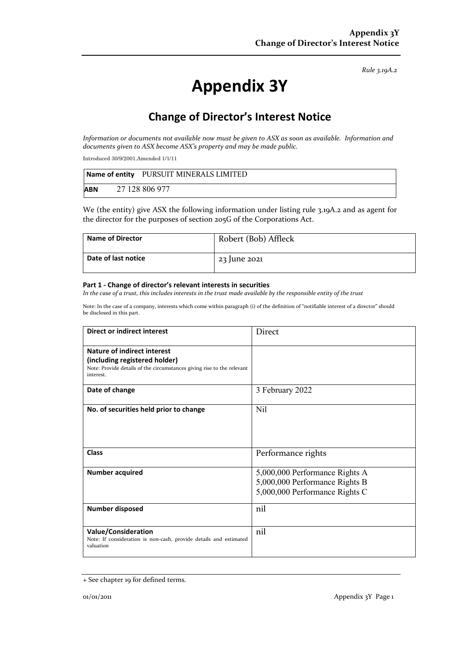*Rule 3.19A.2*

# **Appendix 3Y**

# **Change of Director's Interest Notice**

*Information or documents not available now must be given to ASX as soon as available. Information and documents given to ASX become ASX's property and may be made public.*

Introduced 30/9/2001.Amended 1/1/11

|            | Name of entity PURSUIT MINERALS LIMITED |
|------------|-----------------------------------------|
| <b>ABN</b> | 27 128 806 977                          |

We (the entity) give ASX the following information under listing rule 3.19A.2 and as agent for the director for the purposes of section 205G of the Corporations Act.

| <b>Name of Director</b> | Robert (Bob) Affleck |
|-------------------------|----------------------|
| Date of last notice     | $23$ June $2021$     |

#### **Part 1 - Change of director's relevant interests in securities**

*In the case of a trust, this includes interests in the trust made available by the responsible entity of the trust*

Note: In the case of a company, interests which come within paragraph (i) of the definition of "notifiable interest of a director" should be disclosed in this part.

| Direct or indirect interest                                                                                                                         | <b>Direct</b>                                                                                      |
|-----------------------------------------------------------------------------------------------------------------------------------------------------|----------------------------------------------------------------------------------------------------|
| Nature of indirect interest<br>(including registered holder)<br>Note: Provide details of the circumstances giving rise to the relevant<br>interest. |                                                                                                    |
| Date of change                                                                                                                                      | 3 February 2022                                                                                    |
| No. of securities held prior to change                                                                                                              | Nil                                                                                                |
| <b>Class</b>                                                                                                                                        | Performance rights                                                                                 |
| <b>Number acquired</b>                                                                                                                              | 5,000,000 Performance Rights A<br>5,000,000 Performance Rights B<br>5,000,000 Performance Rights C |
| <b>Number disposed</b>                                                                                                                              | nil                                                                                                |
| <b>Value/Consideration</b><br>Note: If consideration is non-cash, provide details and estimated<br>valuation                                        | nil                                                                                                |

<sup>+</sup> See chapter 19 for defined terms.